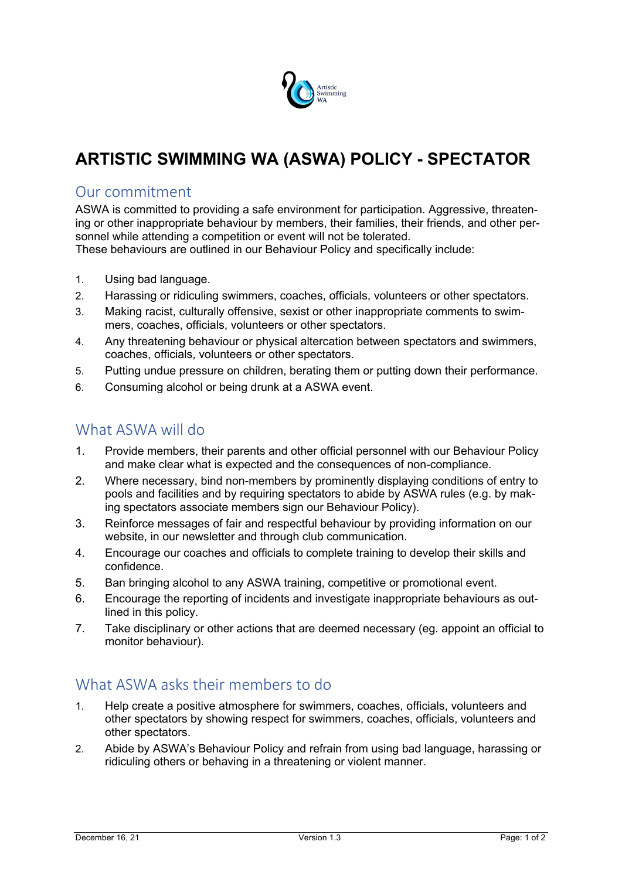

# **ARTISTIC SWIMMING WA (ASWA) POLICY - SPECTATOR**

#### Our commitment

ASWA is committed to providing a safe environment for participation. Aggressive, threatening or other inappropriate behaviour by members, their families, their friends, and other personnel while attending a competition or event will not be tolerated.

These behaviours are outlined in our Behaviour Policy and specifically include:

- 1. Using bad language.
- 2. Harassing or ridiculing swimmers, coaches, officials, volunteers or other spectators.
- 3. Making racist, culturally offensive, sexist or other inappropriate comments to swimmers, coaches, officials, volunteers or other spectators.
- 4. Any threatening behaviour or physical altercation between spectators and swimmers, coaches, officials, volunteers or other spectators.
- 5. Putting undue pressure on children, berating them or putting down their performance.
- 6. Consuming alcohol or being drunk at a ASWA event.

#### What ASWA will do

- 1. Provide members, their parents and other official personnel with our Behaviour Policy and make clear what is expected and the consequences of non-compliance.
- 2. Where necessary, bind non-members by prominently displaying conditions of entry to pools and facilities and by requiring spectators to abide by ASWA rules (e.g. by making spectators associate members sign our Behaviour Policy).
- 3. Reinforce messages of fair and respectful behaviour by providing information on our website, in our newsletter and through club communication.
- 4. Encourage our coaches and officials to complete training to develop their skills and confidence.
- 5. Ban bringing alcohol to any ASWA training, competitive or promotional event.
- 6. Encourage the reporting of incidents and investigate inappropriate behaviours as outlined in this policy.
- 7. Take disciplinary or other actions that are deemed necessary (eg. appoint an official to monitor behaviour).

## What ASWA asks their members to do

- 1. Help create a positive atmosphere for swimmers, coaches, officials, volunteers and other spectators by showing respect for swimmers, coaches, officials, volunteers and other spectators.
- 2. Abide by ASWA's Behaviour Policy and refrain from using bad language, harassing or ridiculing others or behaving in a threatening or violent manner.